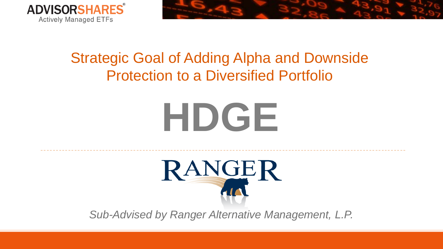



# Strategic Goal of Adding Alpha and Downside Protection to a Diversified Portfolio

# **HDGE**



*Sub-Advised by Ranger Alternative Management, L.P.*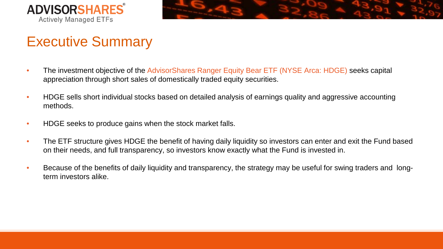



# Executive Summary

- The investment objective of the AdvisorShares Ranger Equity Bear ETF (NYSE Arca: HDGE) seeks capital appreciation through short sales of domestically traded equity securities.
- HDGE sells short individual stocks based on detailed analysis of earnings quality and aggressive accounting methods.
- HDGE seeks to produce gains when the stock market falls.
- The ETF structure gives HDGE the benefit of having daily liquidity so investors can enter and exit the Fund based on their needs, and full transparency, so investors know exactly what the Fund is invested in.
- Because of the benefits of daily liquidity and transparency, the strategy may be useful for swing traders and longterm investors alike.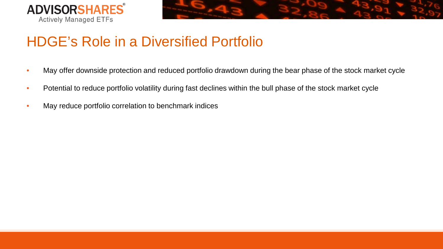



# HDGE's Role in a Diversified Portfolio

- May offer downside protection and reduced portfolio drawdown during the bear phase of the stock market cycle
- Potential to reduce portfolio volatility during fast declines within the bull phase of the stock market cycle
- May reduce portfolio correlation to benchmark indices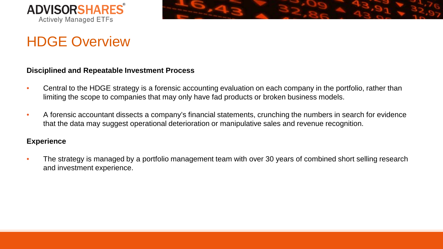



### HDGE Overview

### **Disciplined and Repeatable Investment Process**

- Central to the HDGE strategy is a forensic accounting evaluation on each company in the portfolio, rather than limiting the scope to companies that may only have fad products or broken business models.
- A forensic accountant dissects a company's financial statements, crunching the numbers in search for evidence that the data may suggest operational deterioration or manipulative sales and revenue recognition.

### **Experience**

• The strategy is managed by a portfolio management team with over 30 years of combined short selling research and investment experience.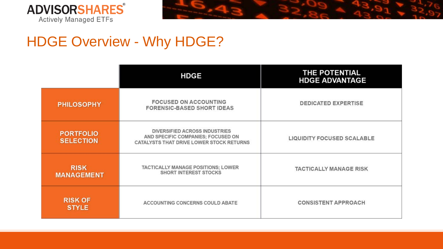



# HDGE Overview - Why HDGE?

|                                      | <b>HDGE</b>                                                                                                            | THE POTENTIAL<br><b>HDGE ADVANTAGE</b> |
|--------------------------------------|------------------------------------------------------------------------------------------------------------------------|----------------------------------------|
| <b>PHILOSOPHY</b>                    | <b>FOCUSED ON ACCOUNTING</b><br><b>FORENSIC-BASED SHORT IDEAS</b>                                                      | <b>DEDICATED EXPERTISE</b>             |
| <b>PORTFOLIO</b><br><b>SELECTION</b> | <b>DIVERSIFIED ACROSS INDUSTRIES</b><br>AND SPECIFIC COMPANIES; FOCUSED ON<br>CATALYSTS THAT DRIVE LOWER STOCK RETURNS | LIQUIDITY FOCUSED SCALABLE             |
| <b>RISK</b><br><b>MANAGEMENT</b>     | TACTICALLY MANAGE POSITIONS; LOWER<br><b>SHORT INTEREST STOCKS</b>                                                     | <b>TACTICALLY MANAGE RISK</b>          |
| <b>RISK OF</b><br><b>STYLE</b>       | ACCOUNTING CONCERNS COULD ABATE                                                                                        | <b>CONSISTENT APPROACH</b>             |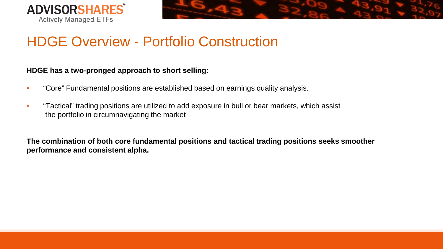



### HDGE Overview - Portfolio Construction

### **HDGE has a two-pronged approach to short selling:**

- "Core" Fundamental positions are established based on earnings quality analysis.
- "Tactical" trading positions are utilized to add exposure in bull or bear markets, which assist the portfolio in circumnavigating the market

**The combination of both core fundamental positions and tactical trading positions seeks smoother performance and consistent alpha.**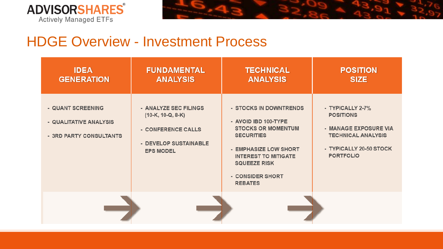



### HDGE Overview - Investment Process

| <b>IDEA</b><br><b>GENERATION</b>                                       | <b>FUNDAMENTAL</b><br><b>ANALYSIS</b>                                                                           | <b>TECHNICAL</b><br><b>ANALYSIS</b>                                                                                                                                                                                   | <b>POSITION</b><br><b>SIZE</b>                                                                                                            |
|------------------------------------------------------------------------|-----------------------------------------------------------------------------------------------------------------|-----------------------------------------------------------------------------------------------------------------------------------------------------------------------------------------------------------------------|-------------------------------------------------------------------------------------------------------------------------------------------|
| - QUANT SCREENING<br>- QUALITATIVE ANALYSIS<br>- 3RD PARTY CONSULTANTS | - ANALYZE SEC FILINGS<br>$(10-K, 10-Q, 8-K)$<br>- CONFERENCE CALLS<br>- DEVELOP SUSTAINABLE<br><b>EPS MODEL</b> | - STOCKS IN DOWNTRENDS<br>- AVOID IBD 100-TYPE<br><b>STOCKS OR MOMENTUM</b><br><b>SECURITIES</b><br>- EMPHASIZE LOW SHORT<br><b>INTEREST TO MITIGATE</b><br><b>SQUEEZE RISK</b><br>- CONSIDER SHORT<br><b>REBATES</b> | - TYPICALLY 2-7%<br><b>POSITIONS</b><br>- MANAGE EXPOSURE VIA<br><b>TECHNICAL ANALYSIS</b><br>- TYPICALLY 20-50 STOCK<br><b>PORTFOLIO</b> |
|                                                                        |                                                                                                                 |                                                                                                                                                                                                                       |                                                                                                                                           |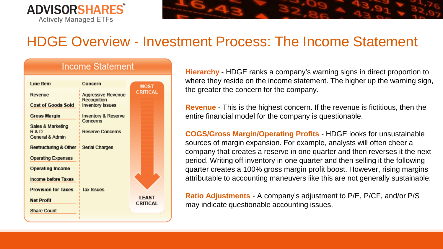

# HDGE Overview - Investment Process: The Income Statement

#### **Income Statement** I ine Item Concern **MOST CRITICAL Aggressive Revenue** Revenue **Recognition Cost of Goods Sold Inventory Issues Gross Margin Inventory & Reserve Concerns** Sales & Marketing **Reserve Concerns** R&D General & Admin **Restructuring & Other Serial Charges Operating Expenses Operating Income** Income before Taxes **Provision for Taxes Tax Issues LEAST Net Profit CRITICAL** Share Count

**Hierarchy** - HDGE ranks a company's warning signs in direct proportion to where they reside on the income statement. The higher up the warning sign, the greater the concern for the company.

**Revenue** - This is the highest concern. If the revenue is fictitious, then the entire financial model for the company is questionable.

**COGS/Gross Margin/Operating Profits** - HDGE looks for unsustainable sources of margin expansion. For example, analysts will often cheer a company that creates a reserve in one quarter and then reverses it the next period. Writing off inventory in one quarter and then selling it the following quarter creates a 100% gross margin profit boost. However, rising margins attributable to accounting maneuvers like this are not generally sustainable.

**Ratio Adjustments** - A company's adjustment to P/E, P/CF, and/or P/S may indicate questionable accounting issues.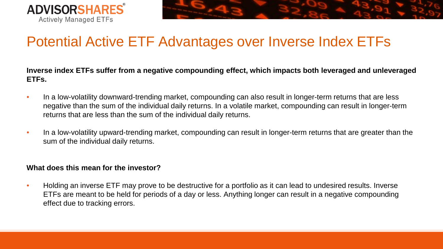



### Potential Active ETF Advantages over Inverse Index ETFs

**Inverse index ETFs suffer from a negative compounding effect, which impacts both leveraged and unleveraged ETFs.**

- In a low-volatility downward-trending market, compounding can also result in longer-term returns that are less negative than the sum of the individual daily returns. In a volatile market, compounding can result in longer-term returns that are less than the sum of the individual daily returns.
- In a low-volatility upward-trending market, compounding can result in longer-term returns that are greater than the sum of the individual daily returns.

### **What does this mean for the investor?**

• Holding an inverse ETF may prove to be destructive for a portfolio as it can lead to undesired results. Inverse ETFs are meant to be held for periods of a day or less. Anything longer can result in a negative compounding effect due to tracking errors.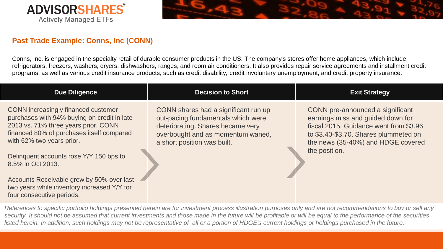



### **Past Trade Example: Conns, Inc (CONN)**

Conns, Inc. is engaged in the specialty retail of durable consumer products in the US. The company's stores offer home appliances, which include refrigerators, freezers, washers, dryers, dishwashers, ranges, and room air conditioners. It also provides repair service agreements and installment credit programs, as well as various credit insurance products, such as credit disability, credit involuntary unemployment, and credit property insurance.

| <b>Due Diligence</b>                                                                                                                                                                                                                                                                                                                                                                          | <b>Decision to Short</b>                                                                                                                                                            | <b>Exit Strategy</b>                                                                                                                                                                                            |
|-----------------------------------------------------------------------------------------------------------------------------------------------------------------------------------------------------------------------------------------------------------------------------------------------------------------------------------------------------------------------------------------------|-------------------------------------------------------------------------------------------------------------------------------------------------------------------------------------|-----------------------------------------------------------------------------------------------------------------------------------------------------------------------------------------------------------------|
| CONN increasingly financed customer<br>purchases with 94% buying on credit in late<br>2013 vs. 71% three years prior. CONN<br>financed 80% of purchases itself compared<br>with 62% two years prior.<br>Delinquent accounts rose Y/Y 150 bps to<br>8.5% in Oct 2013.<br>Accounts Receivable grew by 50% over last<br>two years while inventory increased Y/Y for<br>four consecutive periods. | CONN shares had a significant run up<br>out-pacing fundamentals which were<br>deteriorating. Shares became very<br>overbought and as momentum waned,<br>a short position was built. | CONN pre-announced a significant<br>earnings miss and guided down for<br>fiscal 2015. Guidance went from \$3.96<br>to \$3.40-\$3.70. Shares plummeted on<br>the news (35-40%) and HDGE covered<br>the position. |

*References to specific portfolio holdings presented herein are for investment process illustration purposes only and are not recommendations to buy or sell any security. It should not be assumed that current investments and those made in the future will be profitable or will be equal to the performance of the securities*  listed herein. In addition, such holdings may not be representative of all or a portion of HDGE's current holdings or holdings purchased in the future.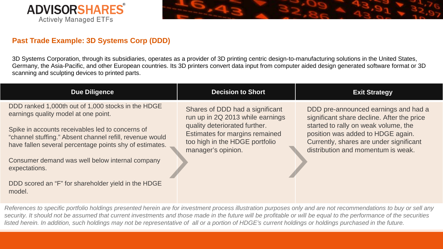



### **Past Trade Example: 3D Systems Corp (DDD)**

3D Systems Corporation, through its subsidiaries, operates as a provider of 3D printing centric design-to-manufacturing solutions in the United States, Germany, the Asia-Pacific, and other European countries. Its 3D printers convert data input from computer aided design generated software format or 3D scanning and sculpting devices to printed parts.

| <b>Due Diligence</b>                                                                                                                                                                                                                                                                                                                                                                                       | <b>Decision to Short</b>                                                                                                                                                                       | <b>Exit Strategy</b>                                                                                                                                                                                                                             |
|------------------------------------------------------------------------------------------------------------------------------------------------------------------------------------------------------------------------------------------------------------------------------------------------------------------------------------------------------------------------------------------------------------|------------------------------------------------------------------------------------------------------------------------------------------------------------------------------------------------|--------------------------------------------------------------------------------------------------------------------------------------------------------------------------------------------------------------------------------------------------|
| DDD ranked 1,000th out of 1,000 stocks in the HDGE<br>earnings quality model at one point.<br>Spike in accounts receivables led to concerns of<br>"channel stuffing." Absent channel refill, revenue would<br>have fallen several percentage points shy of estimates.<br>Consumer demand was well below internal company<br>expectations.<br>DDD scored an "F" for shareholder yield in the HDGE<br>model. | Shares of DDD had a significant<br>run up in 2Q 2013 while earnings<br>quality deteriorated further.<br>Estimates for margins remained<br>too high in the HDGE portfolio<br>manager's opinion. | DDD pre-announced earnings and had a<br>significant share decline. After the price<br>started to rally on weak volume, the<br>position was added to HDGE again.<br>Currently, shares are under significant<br>distribution and momentum is weak. |

*References to specific portfolio holdings presented herein are for investment process illustration purposes only and are not recommendations to buy or sell any security. It should not be assumed that current investments and those made in the future will be profitable or will be equal to the performance of the securities*  listed herein. In addition, such holdings may not be representative of all or a portion of HDGE's current holdings or holdings purchased in the future.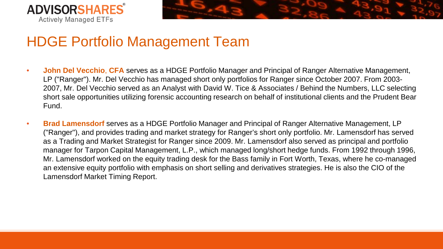



### HDGE Portfolio Management Team

- **John Del Vecchio**, **CFA** serves as a HDGE Portfolio Manager and Principal of Ranger Alternative Management, LP ("Ranger"). Mr. Del Vecchio has managed short only portfolios for Ranger since October 2007. From 2003- 2007, Mr. Del Vecchio served as an Analyst with David W. Tice & Associates / Behind the Numbers, LLC selecting short sale opportunities utilizing forensic accounting research on behalf of institutional clients and the Prudent Bear Fund.
- **Brad Lamensdorf** serves as a HDGE Portfolio Manager and Principal of Ranger Alternative Management, LP ("Ranger"), and provides trading and market strategy for Ranger's short only portfolio. Mr. Lamensdorf has served as a Trading and Market Strategist for Ranger since 2009. Mr. Lamensdorf also served as principal and portfolio manager for Tarpon Capital Management, L.P., which managed long/short hedge funds. From 1992 through 1996, Mr. Lamensdorf worked on the equity trading desk for the Bass family in Fort Worth, Texas, where he co-managed an extensive equity portfolio with emphasis on short selling and derivatives strategies. He is also the CIO of the Lamensdorf Market Timing Report.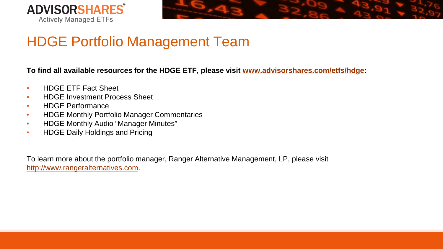



## HDGE Portfolio Management Team

**To find all available resources for the HDGE ETF, please visit [www.advisorshares.com/etfs/hdge:](http://www.advisorshares.com/etfs/hdge)**

- HDGE ETF Fact Sheet
- **HDGE Investment Process Sheet**
- HDGE Performance
- HDGE Monthly Portfolio Manager Commentaries
- HDGE Monthly Audio "Manager Minutes"
- HDGE Daily Holdings and Pricing

To learn more about the portfolio manager, Ranger Alternative Management, LP, please visit [http://www.rangeralternatives.com.](http://www.rangeralternatives.com/)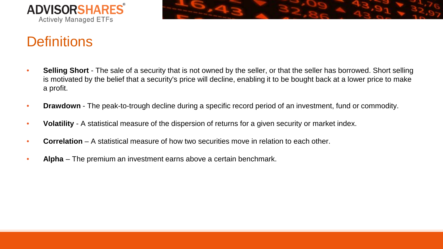



## **Definitions**

- **Selling Short** The sale of a security that is not owned by the seller, or that the seller has borrowed. Short selling is motivated by the belief that a security's price will decline, enabling it to be bought back at a lower price to make a profit.
- **Drawdown** The peak-to-trough decline during a specific record period of an investment, fund or commodity.
- **Volatility** A statistical measure of the dispersion of returns for a given security or market index.
- **Correlation** A statistical measure of how two securities move in relation to each other.
- **Alpha** The premium an investment earns above a certain benchmark.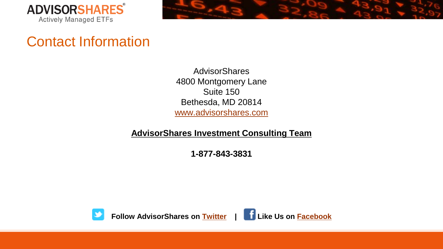



### Contact Information

**AdvisorShares** 4800 Montgomery Lane Suite 150 Bethesda, MD 20814 [www.advisorshares.com](http://www.advisorshares.com/)

**AdvisorShares Investment Consulting Team**

**1-877-843-3831**